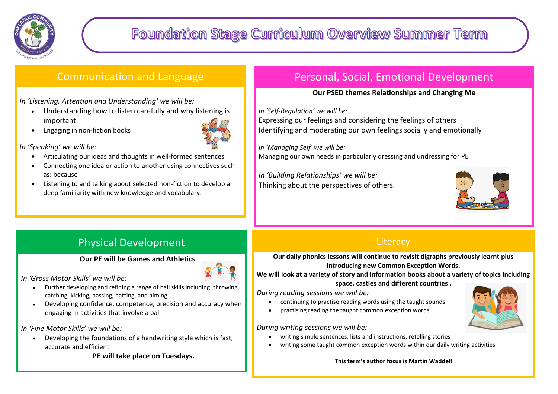

# Communication and Language

*In 'Listening, Attention and Understanding' we will be:*

- Understanding how to listen carefully and why listening is important.
- Engaging in non-fiction books



*In 'Speaking' we will be:*

- Articulating our ideas and thoughts in well-formed sentences
- Connecting one idea or action to another using connectives such as: because
- Listening to and talking about selected non-fiction to develop a deep familiarity with new knowledge and vocabulary.

Physical Development

**Our PE will be Games and Athletics** 

*In 'Gross Motor Skills' we will be:*

- Further developing and refining a range of ball skills including: throwing, catching, kicking, passing, batting, and aiming
- Developing confidence, competence, precision and accuracy when engaging in activities that involve a ball

#### *In 'Fine Motor Skills' we will be:*

 Developing the foundations of a handwriting style which is fast, accurate and efficient

**PE will take place on Tuesdays.**

# Personal, Social, Emotional Development

#### **Our PSED themes Relationships and Changing Me**

*In 'Self-Regulation' we will be:*

Expressing our feelings and considering the feelings of others Identifying and moderating our own feelings socially and emotionally

*In 'Managing Self' we will be:*  Managing our own needs in particularly dressing and undressing for PE

*In 'Building Relationships' we will be:*  Thinking about the perspectives of others.



### **Literacy**

**Our daily phonics lessons will continue to revisit digraphs previously learnt plus introducing new Common Exception Words.** 

**We will look at a variety of story and information books about a variety of topics including space, castles and different countries .**

*During reading sessions we will be:* 

- continuing to practise reading words using the taught sounds
- practising reading the taught common exception words

*During writing sessions we will be:*

- writing simple sentences, lists and instructions, retelling stories
- writing some taught common exception words within our daily writing activities

**This term's author focus is Martin Waddell**